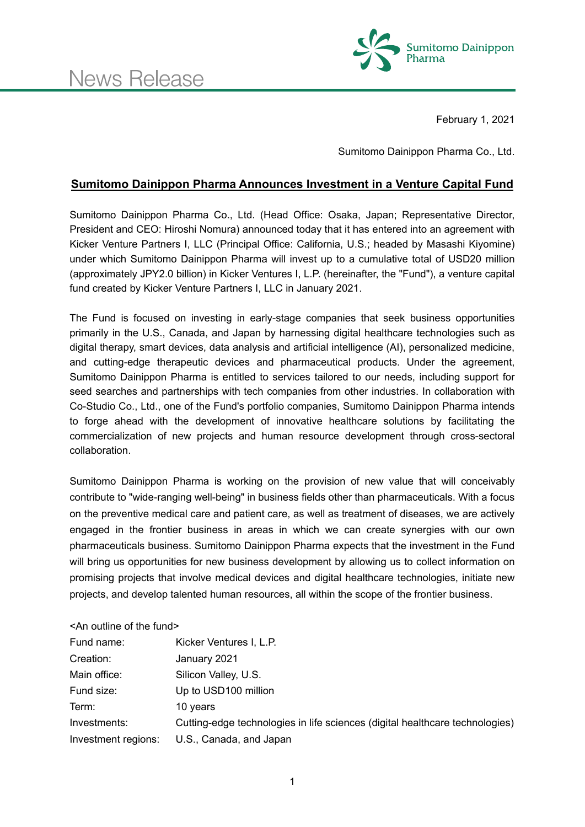

February 1, 2021

Sumitomo Dainippon Pharma Co., Ltd.

## **Sumitomo Dainippon Pharma Announces Investment in a Venture Capital Fund**

Sumitomo Dainippon Pharma Co., Ltd. (Head Office: Osaka, Japan; Representative Director, President and CEO: Hiroshi Nomura) announced today that it has entered into an agreement with Kicker Venture Partners I, LLC (Principal Office: California, U.S.; headed by Masashi Kiyomine) under which Sumitomo Dainippon Pharma will invest up to a cumulative total of USD20 million (approximately JPY2.0 billion) in Kicker Ventures I, L.P. (hereinafter, the "Fund"), a venture capital fund created by Kicker Venture Partners I, LLC in January 2021.

The Fund is focused on investing in early-stage companies that seek business opportunities primarily in the U.S., Canada, and Japan by harnessing digital healthcare technologies such as digital therapy, smart devices, data analysis and artificial intelligence (AI), personalized medicine, and cutting-edge therapeutic devices and pharmaceutical products. Under the agreement, Sumitomo Dainippon Pharma is entitled to services tailored to our needs, including support for seed searches and partnerships with tech companies from other industries. In collaboration with Co-Studio Co., Ltd., one of the Fund's portfolio companies, Sumitomo Dainippon Pharma intends to forge ahead with the development of innovative healthcare solutions by facilitating the commercialization of new projects and human resource development through cross-sectoral collaboration.

Sumitomo Dainippon Pharma is working on the provision of new value that will conceivably contribute to "wide-ranging well-being" in business fields other than pharmaceuticals. With a focus on the preventive medical care and patient care, as well as treatment of diseases, we are actively engaged in the frontier business in areas in which we can create synergies with our own pharmaceuticals business. Sumitomo Dainippon Pharma expects that the investment in the Fund will bring us opportunities for new business development by allowing us to collect information on promising projects that involve medical devices and digital healthcare technologies, initiate new projects, and develop talented human resources, all within the scope of the frontier business.

<An outline of the fund>

| Fund name:          | Kicker Ventures I, L.P.                                                      |
|---------------------|------------------------------------------------------------------------------|
| Creation:           | January 2021                                                                 |
| Main office:        | Silicon Valley, U.S.                                                         |
| Fund size:          | Up to USD100 million                                                         |
| Term:               | 10 years                                                                     |
| Investments:        | Cutting-edge technologies in life sciences (digital healthcare technologies) |
| Investment regions: | U.S., Canada, and Japan                                                      |